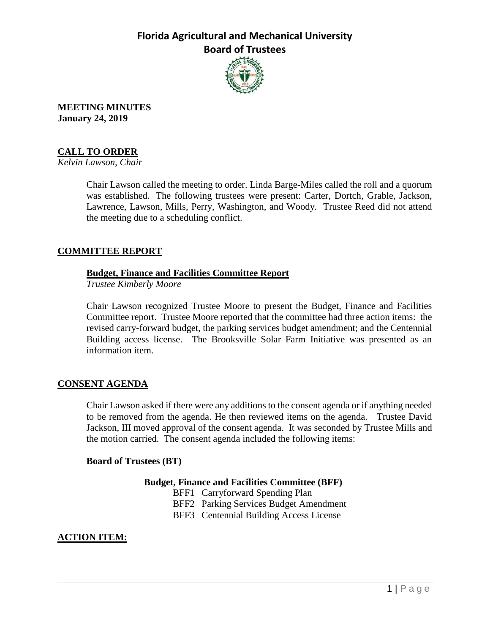

**MEETING MINUTES January 24, 2019**

## **CALL TO ORDER**

*Kelvin Lawson, Chair*

Chair Lawson called the meeting to order. Linda Barge-Miles called the roll and a quorum was established. The following trustees were present: Carter, Dortch, Grable, Jackson, Lawrence, Lawson, Mills, Perry, Washington, and Woody. Trustee Reed did not attend the meeting due to a scheduling conflict.

### **COMMITTEE REPORT**

### **Budget, Finance and Facilities Committee Report**

*Trustee Kimberly Moore*

Chair Lawson recognized Trustee Moore to present the Budget, Finance and Facilities Committee report. Trustee Moore reported that the committee had three action items: the revised carry-forward budget, the parking services budget amendment; and the Centennial Building access license. The Brooksville Solar Farm Initiative was presented as an information item.

### **CONSENT AGENDA**

Chair Lawson asked if there were any additions to the consent agenda or if anything needed to be removed from the agenda. He then reviewed items on the agenda. Trustee David Jackson, III moved approval of the consent agenda. It was seconded by Trustee Mills and the motion carried. The consent agenda included the following items:

### **Board of Trustees (BT)**

### **Budget, Finance and Facilities Committee (BFF)**

- BFF1 Carryforward Spending Plan
- BFF2 Parking Services Budget Amendment
- BFF3 Centennial Building Access License

## **ACTION ITEM:**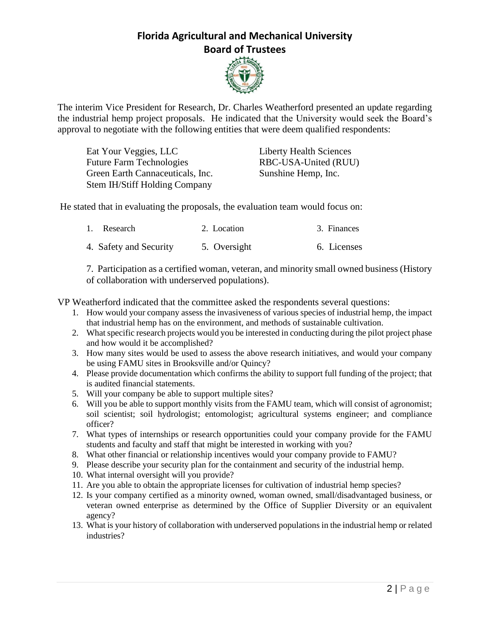

The interim Vice President for Research, Dr. Charles Weatherford presented an update regarding the industrial hemp project proposals. He indicated that the University would seek the Board's approval to negotiate with the following entities that were deem qualified respondents:

Eat Your Veggies, LLC Liberty Health Sciences Future Farm Technologies RBC-USA-United (RUU) Green Earth Cannaceuticals, Inc. Sunshine Hemp, Inc. Stem IH/Stiff Holding Company

He stated that in evaluating the proposals, the evaluation team would focus on:

| 1. Research            | 2. Location  | 3. Finances |
|------------------------|--------------|-------------|
| 4. Safety and Security | 5. Oversight | 6. Licenses |

7. Participation as a certified woman, veteran, and minority small owned business (History of collaboration with underserved populations).

VP Weatherford indicated that the committee asked the respondents several questions:

- 1. How would your company assess the invasiveness of various species of industrial hemp, the impact that industrial hemp has on the environment, and methods of sustainable cultivation.
- 2. What specific research projects would you be interested in conducting during the pilot project phase and how would it be accomplished?
- 3. How many sites would be used to assess the above research initiatives, and would your company be using FAMU sites in Brooksville and/or Quincy?
- 4. Please provide documentation which confirms the ability to support full funding of the project; that is audited financial statements.
- 5. Will your company be able to support multiple sites?
- 6. Will you be able to support monthly visits from the FAMU team, which will consist of agronomist; soil scientist; soil hydrologist; entomologist; agricultural systems engineer; and compliance officer?
- 7. What types of internships or research opportunities could your company provide for the FAMU students and faculty and staff that might be interested in working with you?
- 8. What other financial or relationship incentives would your company provide to FAMU?
- 9. Please describe your security plan for the containment and security of the industrial hemp.
- 10. What internal oversight will you provide?
- 11. Are you able to obtain the appropriate licenses for cultivation of industrial hemp species?
- 12. Is your company certified as a minority owned, woman owned, small/disadvantaged business, or veteran owned enterprise as determined by the Office of Supplier Diversity or an equivalent agency?
- 13. What is your history of collaboration with underserved populations in the industrial hemp or related industries?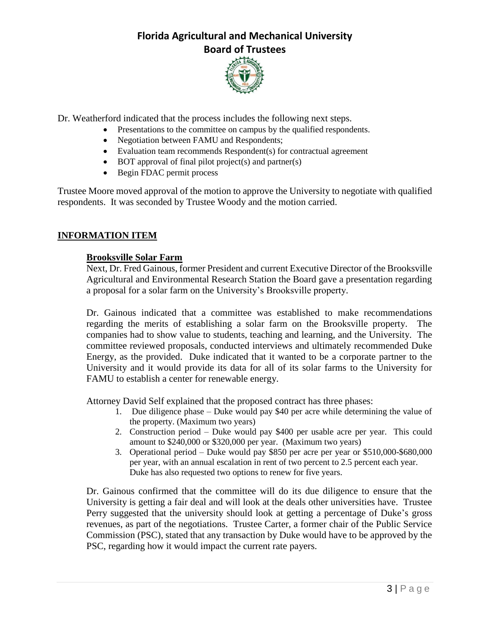

Dr. Weatherford indicated that the process includes the following next steps.

- Presentations to the committee on campus by the qualified respondents.
- Negotiation between FAMU and Respondents;
- Evaluation team recommends Respondent(s) for contractual agreement
- $\bullet$  BOT approval of final pilot project(s) and partner(s)
- Begin FDAC permit process

Trustee Moore moved approval of the motion to approve the University to negotiate with qualified respondents. It was seconded by Trustee Woody and the motion carried.

## **INFORMATION ITEM**

### **Brooksville Solar Farm**

Next, Dr. Fred Gainous, former President and current Executive Director of the Brooksville Agricultural and Environmental Research Station the Board gave a presentation regarding a proposal for a solar farm on the University's Brooksville property.

Dr. Gainous indicated that a committee was established to make recommendations regarding the merits of establishing a solar farm on the Brooksville property. The companies had to show value to students, teaching and learning, and the University. The committee reviewed proposals, conducted interviews and ultimately recommended Duke Energy, as the provided. Duke indicated that it wanted to be a corporate partner to the University and it would provide its data for all of its solar farms to the University for FAMU to establish a center for renewable energy.

Attorney David Self explained that the proposed contract has three phases:

- 1. Due diligence phase Duke would pay \$40 per acre while determining the value of the property. (Maximum two years)
- 2. Construction period Duke would pay \$400 per usable acre per year. This could amount to \$240,000 or \$320,000 per year. (Maximum two years)
- 3. Operational period Duke would pay \$850 per acre per year or \$510,000-\$680,000 per year, with an annual escalation in rent of two percent to 2.5 percent each year. Duke has also requested two options to renew for five years.

Dr. Gainous confirmed that the committee will do its due diligence to ensure that the University is getting a fair deal and will look at the deals other universities have. Trustee Perry suggested that the university should look at getting a percentage of Duke's gross revenues, as part of the negotiations. Trustee Carter, a former chair of the Public Service Commission (PSC), stated that any transaction by Duke would have to be approved by the PSC, regarding how it would impact the current rate payers.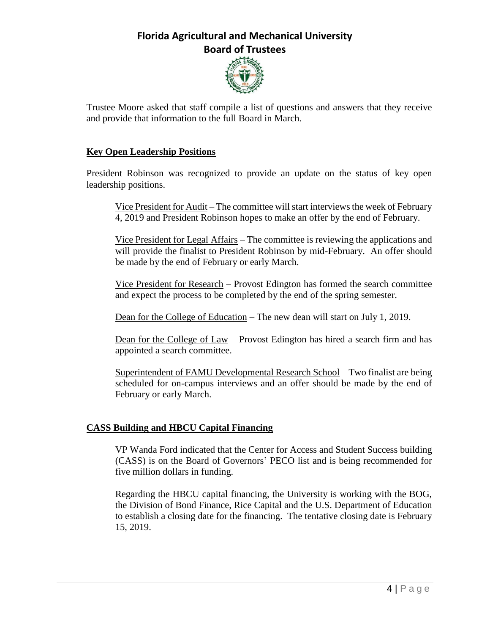

Trustee Moore asked that staff compile a list of questions and answers that they receive and provide that information to the full Board in March.

### **Key Open Leadership Positions**

President Robinson was recognized to provide an update on the status of key open leadership positions.

Vice President for Audit – The committee will start interviews the week of February 4, 2019 and President Robinson hopes to make an offer by the end of February.

Vice President for Legal Affairs – The committee is reviewing the applications and will provide the finalist to President Robinson by mid-February. An offer should be made by the end of February or early March.

Vice President for Research – Provost Edington has formed the search committee and expect the process to be completed by the end of the spring semester.

Dean for the College of Education – The new dean will start on July 1, 2019.

Dean for the College of Law – Provost Edington has hired a search firm and has appointed a search committee.

Superintendent of FAMU Developmental Research School – Two finalist are being scheduled for on-campus interviews and an offer should be made by the end of February or early March.

### **CASS Building and HBCU Capital Financing**

VP Wanda Ford indicated that the Center for Access and Student Success building (CASS) is on the Board of Governors' PECO list and is being recommended for five million dollars in funding.

Regarding the HBCU capital financing, the University is working with the BOG, the Division of Bond Finance, Rice Capital and the U.S. Department of Education to establish a closing date for the financing. The tentative closing date is February 15, 2019.